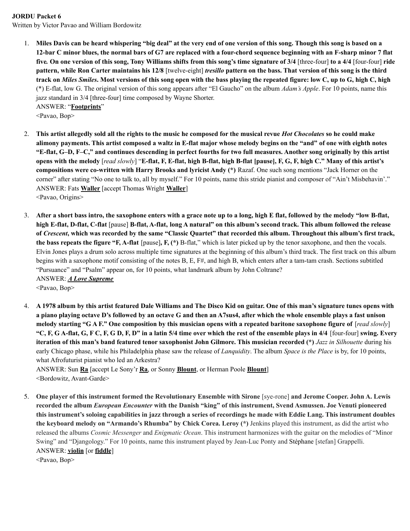## **JORDU Packet 6**

Written by Victor Pavao and William Bordowitz

1. Miles Davis can be heard whispering "big deal" at the very end of one version of this song. Though this song is based on a 12-bar C minor blues, the normal bars of G7 are replaced with a four-chord sequence beginning with an F-sharp minor 7 flat five. On one version of this song, Tony Williams shifts from this song's time signature of 3/4 [three-four] to a 4/4 [four-four] ride pattern, while Ron Carter maintains his 12/8 [twelve-eight] tresillo pattern on the bass. That version of this song is the third track on Miles Smiles. Most versions of this song open with the bass playing the repeated figure: low C, up to G, high C, high (\*) E-flat, low G. The original version of this song appears after "El Gaucho" on the album *Adam's Apple*. For 10 points, name this jazz standard in 3/4 [three-four] time composed by Wayne Shorter. ANSWER: "**Footprints**"

<Pavao, Bop>

- 2. This artist allegedly sold all the rights to the music he composed for the musical revue *Hot Chocolates* so he could make alimony payments. This artist composed a waltz in E-flat major whose melody begins on the "and" of one with eighth notes "E-flat, G-D, F-C," and continues descending in perfect fourths for two full measures. Another song originally by this artist opens with the melody [read slowly] "E-flat, F, E-flat, high B-flat, high B-flat [pause], F, G, F, high C." Many of this artist's **compositions were co-written with Harry Brooks and lyricist Andy (\*)** Razaf. One such song mentions "Jack Horner on the corner" after stating "No one to talk to, all by myself." For 10 points, name this stride pianist and composer of "Ain't Misbehavin'." ANSWER: Fats **Waller** [accept Thomas Wright **Waller**] <Pavao, Origins>
- 3. After a short bass intro, the saxophone enters with a grace note up to a long, high E flat, followed by the melody "low B-flat, high E-flat, D-flat, C-flat [pause] B-flat, A-flat, long A natural" on this album's second track. This album followed the release of Crescent, which was recorded by the same "Classic Quartet" that recorded this album. Throughout this album's first track, **the bass repeats the figure "F, A-flat** [pause]**, F, (\*)** B-flat," which is later picked up by the tenor saxophone, and then the vocals. Elvin Jones plays a drum solo across multiple time signatures at the beginning of this album's third track. The first track on this album begins with a saxophone motif consisting of the notes B, E, F#, and high B, which enters after a tam-tam crash. Sections subtitled "Pursuance" and "Psalm" appear on, for 10 points, what landmark album by John Coltrane? ANSWER: *A Love Supreme* <Pavao, Bop>
- 4. A 1978 album by this artist featured Dale Williams and The Disco Kid on guitar. One of this man's signature tunes opens with a piano playing octave D's followed by an octave G and then an A7sus4, after which the whole ensemble plays a fast unison melody starting "G A F." One composition by this musician opens with a repeated baritone saxophone figure of [read slowly] "C, F, G A-flat, G, F C, F, G D, F, D" in a latin 5/4 time over which the rest of the ensemble plays in 4/4 [four-four] swing. Every iteration of this man's band featured tenor saxophonist John Gilmore. This musician recorded (\*) Jazz in Silhouette during his early Chicago phase, while his Philadelphia phase saw the release of *Lanquidity*. The album *Space is the Place* is by, for 10 points, what Afrofuturist pianist who led an Arkestra?

ANSWER: Sun **Ra** [accept Le Sony'r **Ra**, or Sonny **Blount**, or Herman Poole **Blount**] <Bordowitz, Avant-Garde>

5. One player of this instrument formed the Revolutionary Ensemble with Sirone [sye-rone] and Jerome Cooper. John A. Lewis recorded the album European Encounter with the Danish "king" of this instrument, Svend Asmussen. Joe Venuti pioneered this instrument's soloing capabilities in jazz through a series of recordings he made with Eddie Lang. This instrument doubles **the keyboard melody on "Armando's Rhumba" by Chick Corea. Leroy (\*)** Jenkins played this instrument, as did the artist who released the albums *Cosmic Messenger* and *Enigmatic Ocean*. This instrument harmonizes with the guitar on the melodies of "Minor Swing" and "Djangology." For 10 points, name this instrument played by Jean-Luc Ponty and Stéphane [stefan] Grappelli. ANSWER: **violin** [or **fiddle**]

<Pavao, Bop>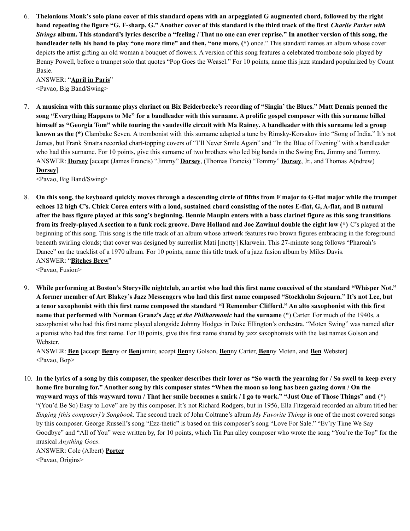6. Thelonious Monk's solo piano cover of this standard opens with an arpeggiated G augmented chord, followed by the right hand repeating the figure "G, F-sharp, G." Another cover of this standard is the third track of the first Charlie Parker with Strings album. This standard's lyrics describe a "feeling / That no one can ever reprise." In another version of this song, the **bandleader tells his band to play "one more time" and then, "one more, (\*)** once." This standard names an album whose cover depicts the artist gifting an old woman a bouquet of flowers. A version of this song features a celebrated trombone solo played by Benny Powell, before a trumpet solo that quotes "Pop Goes the Weasel." For 10 points, name this jazz standard popularized by Count Basie.

ANSWER: "**April in Paris**" <Pavao, Big Band/Swing>

7. A musician with this surname plays clarinet on Bix Beiderbecke's recording of "Singin' the Blues." Matt Dennis penned the song "Everything Happens to Me" for a bandleader with this surname. A prolific gospel composer with this surname billed himself as "Georgia Tom" while touring the vaudeville circuit with Ma Rainey. A bandleader with this surname led a group **known as the (\*)** Clambake Seven. A trombonist with this surname adapted a tune by Rimsky-Korsakov into "Song of India." It's not James, but Frank Sinatra recorded chart-topping covers of "I'll Never Smile Again" and "In the Blue of Evening" with a bandleader who had this surname. For 10 points, give this surname of two brothers who led big bands in the Swing Era, Jimmy and Tommy. ANSWER: **Dorsey** [accept (James Francis) "Jimmy" **Dorsey**, (Thomas Francis) "Tommy" **Dorsey**, Jr., and Thomas A(ndrew) **Dorsey**]

<Pavao, Big Band/Swing>

8. On this song, the keyboard quickly moves through a descending circle of fifths from F major to G-flat major while the trumpet echoes 12 high C's. Chick Corea enters with a loud, sustained chord consisting of the notes E-flat, G, A-flat, and B natural after the bass figure played at this song's beginning. Bennie Maupin enters with a bass clarinet figure as this song transitions from its freely-played A section to a funk rock groove. Dave Holland and Joe Zawinul double the eight low (\*) C's played at the beginning of this song. This song is the title track of an album whose artwork features two brown figures embracing in the foreground beneath swirling clouds; that cover was designed by surrealist Mati [motty] Klarwein. This 27-minute song follows "Pharoah's Dance" on the tracklist of a 1970 album. For 10 points, name this title track of a jazz fusion album by Miles Davis. ANSWER: "**Bitches Brew**"

<Pavao, Fusion>

9. While performing at Boston's Storyville nightclub, an artist who had this first name conceived of the standard "Whisper Not." A former member of Art Blakey's Jazz Messengers who had this first name composed "Stockholm Sojourn." It's not Lee, but a tenor saxophonist with this first name composed the standard "I Remember Clifford." An alto saxophonist with this first **name that performed with Norman Granz's** *Jazz at the Philharmonic* **had the surname** (\*) Carter. For much of the 1940s, a saxophonist who had this first name played alongside Johnny Hodges in Duke Ellington's orchestra. "Moten Swing" was named after a pianist who had this first name. For 10 points, give this first name shared by jazz saxophonists with the last names Golson and Webster.

ANSWER: **Ben** [accept **Ben**ny or **Ben**jamin; accept **Ben**ny Golson, **Ben**ny Carter, **Ben**ny Moten, and **Ben** Webster] <Pavao, Bop>

10. In the lyrics of a song by this composer, the speaker describes their lover as "So worth the yearning for / So swell to keep every home fire burning for." Another song by this composer states "When the moon so long has been gazing down / On the wayward ways of this wayward town / That her smile becomes a smirk / I go to work." "Just One of Those Things" and (\*) "(You'd Be So) Easy to Love" are by this composer. It's not Richard Rodgers, but in 1956, Ella Fitzgerald recorded an album titled her *Singing [this composer]'s Songbook*. The second track of John Coltrane's album *My Favorite Things* is one of the most covered songs by this composer. George Russell's song "Ezz-thetic" is based on this composer's song "Love For Sale." "Ev'ry Time We Say Goodbye" and "All of You" were written by, for 10 points, which Tin Pan alley composer who wrote the song "You're the Top" for the musical *Anything Goes*. ANSWER: Cole (Albert) **Porter**

<Pavao, Origins>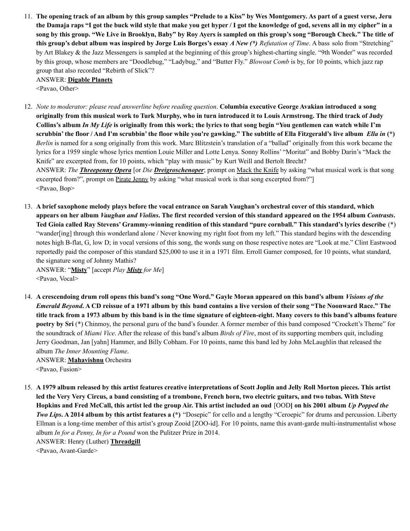11. The opening track of an album by this group samples "Prelude to a Kiss" by Wes Montgomery. As part of a guest verse, Jeru the Damaja raps "I got the buck wild style that make you get hyper / I got the knowledge of god, sevens all in my cipher" in a song by this group. "We Live in Brooklyn, Baby" by Roy Ayers is sampled on this group's song "Borough Check." The title of this group's debut album was inspired by Jorge Luis Borges's essay A New (\*) Refutation of Time. A bass solo from "Stretching" by Art Blakey & the Jazz Messengers is sampled at the beginning of this group's highest-charting single. "9th Wonder" was recorded by this group, whose members are "Doodlebug," "Ladybug," and "Butter Fly." *Blowout Comb* is by, for 10 points, which jazz rap group that also recorded "Rebirth of Slick"?

ANSWER: **Digable Planets** <Pavao, Other>

- 12. Note to moderator: please read answerline before reading question. Columbia executive George Avakian introduced a song originally from this musical work to Turk Murphy, who in turn introduced it to Louis Armstrong. The third track of Judy Collins's album In My Life is originally from this work; the lyrics to that song begin "You gentlemen can watch while I'm scrubbin' the floor / And I'm scrubbin' the floor while you're gawking." The subtitle of Ella Fitzgerald's live album Ella in  $(*)$ *Berlin* is named for a song originally from this work. Marc Blitzstein's translation of a "ballad" originally from this work became the lyrics for a 1959 single whose lyrics mention Louie Miller and Lotte Lenya. Sonny Rollins' "Moritat" and Bobby Darin's "Mack the Knife" are excerpted from, for 10 points, which "play with music" by Kurt Weill and Bertolt Brecht? ANSWER: *The Threepenny Opera* [or *Die Dreigroschenoper*; prompt on Mack the Knife by asking "what musical work is that song excerpted from?", prompt on Pirate Jenny by asking "what musical work is that song excerpted from?"] <Pavao, Bop>
- 13. A brief saxophone melody plays before the vocal entrance on Sarah Vaughan's orchestral cover of this standard, which appears on her album *Vaughan and Violins*. The first recorded version of this standard appeared on the 1954 album *Contrasts*. Ted Gioia called Ray Stevens' Grammy-winning rendition of this standard "pure cornball." This standard's lyrics describe (\*) "wander[ing] through this wonderland alone / Never knowing my right foot from my left." This standard begins with the descending notes high B-flat, G, low D; in vocal versions of this song, the words sung on those respective notes are "Look at me." Clint Eastwood reportedly paid the composer of this standard \$25,000 to use it in a 1971 film. Erroll Garner composed, for 10 points, what standard, the signature song of Johnny Mathis?

ANSWER: "**Misty**" [accept *Play Misty for Me*] <Pavao, Vocal>

14. A crescendoing drum roll opens this band's song "One Word." Gayle Moran appeared on this band's album Visions of the *Emerald Beyond.* A CD reissue of a 1971 album by this band contains a live version of their song "The Noonward Race." The title track from a 1973 album by this band is in the time signature of eighteen-eight. Many covers to this band's albums feature **poetry by Sri** (\*) Chinmoy, the personal guru of the band's founder. A former member of this band composed "Crockett's Theme" for the soundtrack of *Miami Vice*. After the release of this band's album *Birds of Fire*, most of its supporting members quit, including Jerry Goodman, Jan [yahn] Hammer, and Billy Cobham. For 10 points, name this band led by John McLaughlin that released the album *The Inner Mounting Flame*. ANSWER: **Mahavishnu** Orchestra

<Pavao, Fusion>

15. A 1979 album released by this artist features creative interpretations of Scott Joplin and Jelly Roll Morton pieces. This artist led the Very Very Circus, a band consisting of a trombone, French horn, two electric guitars, and two tubas. With Steve Hopkins and Fred McCall, this artist led the group Air. This artist included an oud [OOD] on his 2001 album Up Popped the *Two Lips***. A 2014 album by this artist features a (\*)** "Dosepic" for cello and a lengthy "Ceroepic" for drums and percussion. Liberty Ellman is a long-time member of this artist's group Zooid [ZOO-id]. For 10 points, name this avant-garde multi-instrumentalist whose album *In for a Penny, In for a Pound* won the Pulitzer Prize in 2014.

ANSWER: Henry (Luther) **Threadgill**

<Pavao, Avant-Garde>